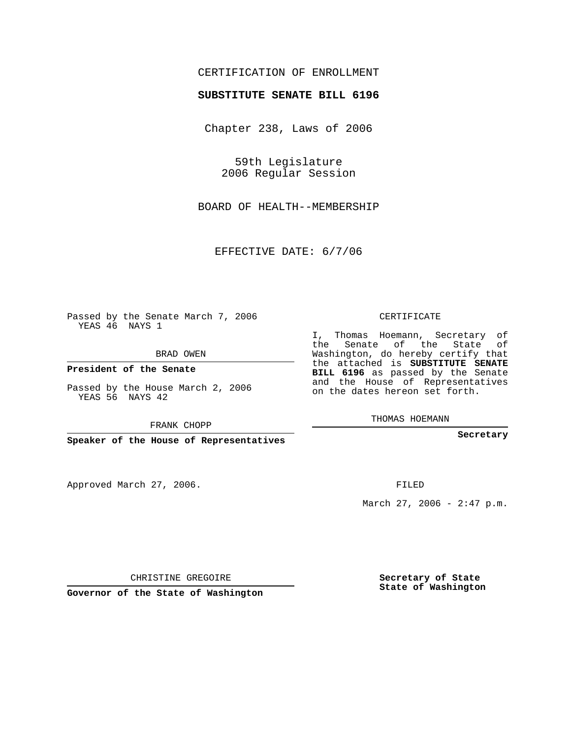## CERTIFICATION OF ENROLLMENT

#### **SUBSTITUTE SENATE BILL 6196**

Chapter 238, Laws of 2006

59th Legislature 2006 Regular Session

BOARD OF HEALTH--MEMBERSHIP

EFFECTIVE DATE: 6/7/06

Passed by the Senate March 7, 2006 YEAS 46 NAYS 1

BRAD OWEN

**President of the Senate**

Passed by the House March 2, 2006 YEAS 56 NAYS 42

FRANK CHOPP

**Speaker of the House of Representatives**

Approved March 27, 2006.

CERTIFICATE

I, Thomas Hoemann, Secretary of the Senate of the State of Washington, do hereby certify that the attached is **SUBSTITUTE SENATE BILL 6196** as passed by the Senate and the House of Representatives on the dates hereon set forth.

THOMAS HOEMANN

**Secretary**

FILED

March 27, 2006 -  $2:47$  p.m.

CHRISTINE GREGOIRE

**Governor of the State of Washington**

**Secretary of State State of Washington**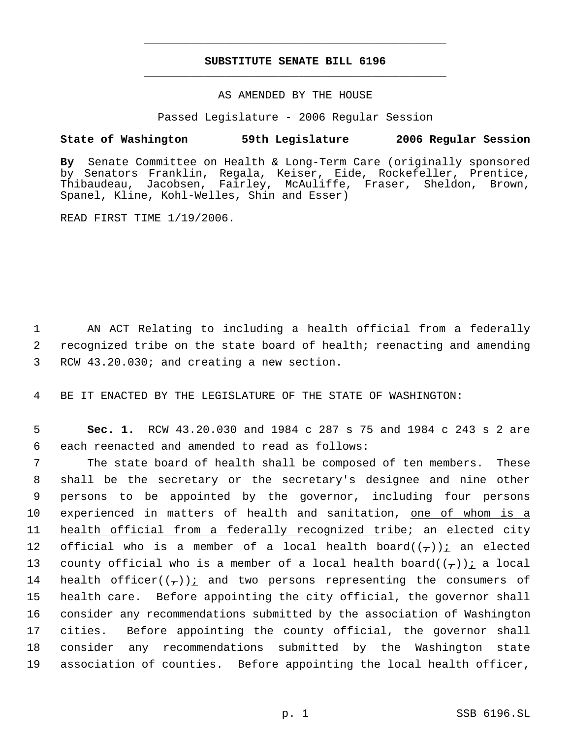# **SUBSTITUTE SENATE BILL 6196** \_\_\_\_\_\_\_\_\_\_\_\_\_\_\_\_\_\_\_\_\_\_\_\_\_\_\_\_\_\_\_\_\_\_\_\_\_\_\_\_\_\_\_\_\_

\_\_\_\_\_\_\_\_\_\_\_\_\_\_\_\_\_\_\_\_\_\_\_\_\_\_\_\_\_\_\_\_\_\_\_\_\_\_\_\_\_\_\_\_\_

### AS AMENDED BY THE HOUSE

Passed Legislature - 2006 Regular Session

### **State of Washington 59th Legislature 2006 Regular Session**

**By** Senate Committee on Health & Long-Term Care (originally sponsored by Senators Franklin, Regala, Keiser, Eide, Rockefeller, Prentice, Thibaudeau, Jacobsen, Fairley, McAuliffe, Fraser, Sheldon, Brown, Spanel, Kline, Kohl-Welles, Shin and Esser)

READ FIRST TIME 1/19/2006.

 1 AN ACT Relating to including a health official from a federally 2 recognized tribe on the state board of health; reenacting and amending 3 RCW 43.20.030; and creating a new section.

4 BE IT ENACTED BY THE LEGISLATURE OF THE STATE OF WASHINGTON:

 5 **Sec. 1.** RCW 43.20.030 and 1984 c 287 s 75 and 1984 c 243 s 2 are 6 each reenacted and amended to read as follows:

 The state board of health shall be composed of ten members. These shall be the secretary or the secretary's designee and nine other persons to be appointed by the governor, including four persons experienced in matters of health and sanitation, one of whom is a health official from a federally recognized tribe; an elected city 12 official who is a member of a local health board $((\tau))$  an elected 13 county official who is a member of a local health board( $(\tau)$ ): a local 14 health officer $((-))$  and two persons representing the consumers of health care. Before appointing the city official, the governor shall consider any recommendations submitted by the association of Washington cities. Before appointing the county official, the governor shall consider any recommendations submitted by the Washington state association of counties. Before appointing the local health officer,